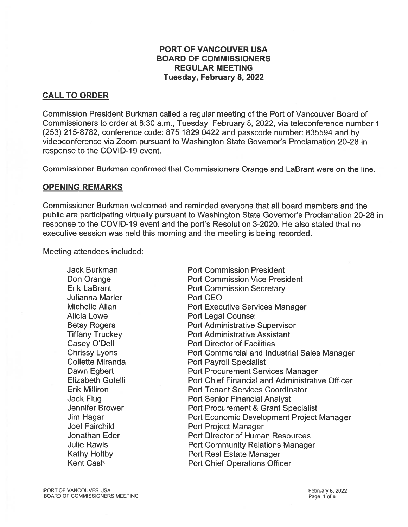## PORT OF VANCOUVER USA BOARD OF COMMISSIONERS REGULAR MEETING Tuesday, February 8, 2022

## CALL TO ORDER

Commission President Burkman called <sup>a</sup> regular meeting of the Port of Vancouver Board of Commissioners to order at 8:30 a.m., Tuesday, February 8, 2022, via teleconference number 1 (253) 215-8782, conference code: 875 1829 0422 and passcode number: 835594 and by videoconference via Zoom pursuan<sup>t</sup> to Washington State Governor's Proclamation 20-28 in response to the COVID-19 event.

Commissioner Burkman confirmed that Commissioners Orange and LaBrant were on the line.

### OPENING REMARKS

Commissioner Burkman welcomed and reminded everyone that all board members and the public are participating virtually pursuan<sup>t</sup> to Washington State Governor's Proclamation 20-28 in response to the COVID-19 event and the port's Resolution 3-2020. He also stated that no executive session was held this morning and the meeting is being recorded.

Meeting attendees included:

Julianna Marler **Port CEO** 

**Jack Burkman Commission President** Don Orange **Port Commission Vice President** Erik LaBrant **Port Commission Secretary** Michelle Allan **Port Executive Services Manager** Alicia Lowe **Port Legal Counsel** Betsy Rogers **Port Administrative Supervisor** Tiffany Truckey **Port Administrative Assistant** Casey O'Dell **Port Director of Facilities** Chrissy Lyons **Port Commercial and Industrial Sales Manager** Collette Miranda **Port Payroll Specialist** Dawn Egbert **Port Procurement Services Manager** Elizabeth Gotelli Port Chief Financial and Administrative Officer Erik Milliron Port Tenant Services Coordinator Jack Flug Port Senior Financial Analyst Jennifer Brower **Port Procurement & Grant Specialist** Jim Hagar Port Economic Development Project Manager Joel Fairchild **Port Project Manager** Jonathan Eder **Port Director of Human Resources** Julie Rawls Port Community Relations Manager Kathy Holtby Port Real Estate Manager Kent Cash **Port Chief Operations Officer**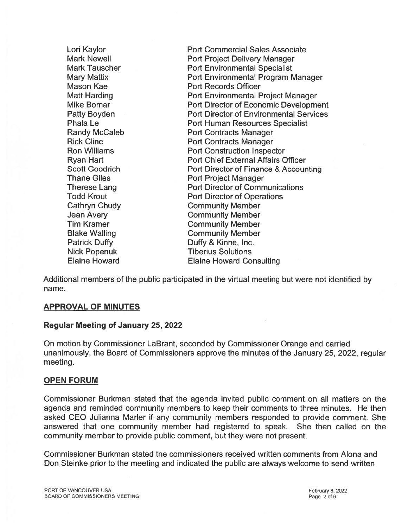Mason Kae **Port Records Officer** Thane Giles **Port Project Manager** Cathryn Chudy Community Member Jean Avery Community Member **Tim Kramer Community Member** Blake Walling **Community Member** Patrick Duffy **Duffy Duffy** & Kinne, Inc. Nick Popenuk Tiberius Solutions

Lori Kaylor **Network** Port Commercial Sales Associate Mark Newell **Newell Port Project Delivery Manager** Mark Tauscher **Port Environmental Specialist** Mary Mattix Port Environmental Program Manager Matt Harding **Port Environmental Project Manager** Mike Bomar **Nightlands** Port Director of Economic Development Patty Boyden **Port Director of Environmental Services Phala Le Port Human Resources Specialist** Randy McCaleb **Port Contracts Manager** Rick Cline **Port Contracts Manager Ron Williams** Port Construction Inspector Ryan Hart **Port Chief External Affairs Officer** Scott Goodrich **Port Director of Finance & Accounting** Therese Lang **Port Director of Communications** Todd Krout **Port Director of Operations** Elaine Howard Elaine Howard Consulting

Additional members of the public participated in the virtual meeting but were not identified by name.

## APPROVAL OF MINUTES

### Regular Meeting of January 25, 2022

On motion by Commissioner LaBrant, seconded by Commissioner Orange and carried unanimously, the Board of Commissioners approve the minutes of the January 25, 2022, regular meeting.

## OPEN FORUM

Commissioner Burkman stated that the agenda invited public comment on all matters on the agenda and reminded community members to keep their comments to three minutes. He then asked CEO Julianna Marler if any community members responded to provide comment. She answered that one community member had registered to speak. She then called on the community member to provide public comment, but they were not present.

Commissioner Burkman stated the commissioners received written comments from Alona and Don Steinke prior to the meeting and indicated the public are always welcome to send written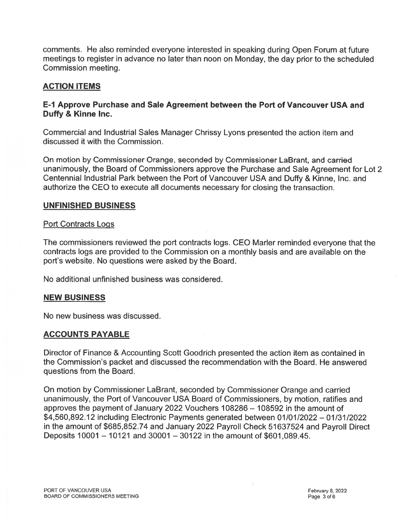comments. He also reminded everyone interested in speaking during Open Forum at future meetings to register in advance no later than noon on Monday, the day prior to the scheduled Commission meeting.

## ACTION ITEMS

## E-1 Approve Purchase and Sale Agreement between the Port of Vancouver USA and Duffy & Kinne Inc.

Commercial and Industrial Sales Manager Chrissy Lyons presented the action item and discussed it with the Commission.

On motion by Commissioner Orange, seconded by Commissioner LaBrant, and carried unanimously, the Board of Commissioners approve the Purchase and Sale Agreement for Lot 2 Centennial Industrial Park between the Port of Vancouver USA and Duffy & Kinne, Inc. and authorize the CEO to execute all documents necessary for closing the transaction.

### UNFINISHED BUSINESS

### Port Contracts Logs

The commissioners reviewed the por<sup>t</sup> contracts logs. CEO Marler reminded everyone that the contracts logs are provided to the Commission on <sup>a</sup> monthly basis and are available on the port's website. No questions were asked by the Board.

No additional unfinished business was considered.

### NEW BUSINESS

No new business was discussed.

## ACCOUNTS PAYABLE

Director of Finance & Accounting Scott Goodrich presented the action item as contained in the Commission's packet and discussed the recommendation with the Board. He answered questions from the Board.

On motion by Commissioner LaBrant, seconded by Commissioner Orange and carried unanimously, the Port of Vancouver USA Board of Commissioners, by motion, ratifies and approves the paymen<sup>t</sup> of January 2022 Vouchers 108286 — 108592 in the amount of \$4,560,892.12 including Electronic Payments generated between 01/01/2022 — 01/31/2022 in the amount of \$685,852.74 and January <sup>2022</sup> Payroll Check <sup>51637524</sup> and Payroll Direct Deposits 10001 — 10121 and 30001 — 30122 in the amount of \$601,089.45.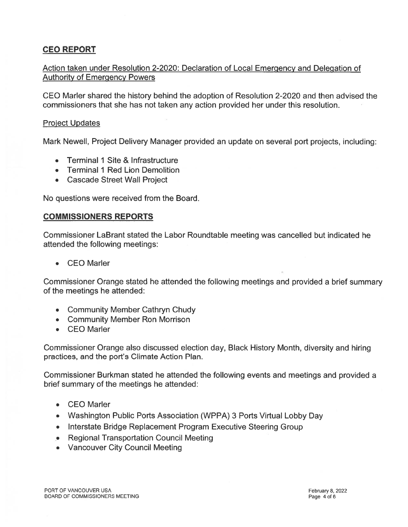# CEO REPORT

## Action taken under Resolution 2-2020: Declaration of Local Emergency and Delegation of Authority of Emergency Powers

CEO Marler shared the history behind the adoption of Resolution 2-2020 and then advised the commissioners that she has not taken any action provided her under this resolution.

### Project Updates

Mark Newell, Project Delivery Manager provided an update on several por<sup>t</sup> projects, including:

- •Terminal 1 Site & Infrastructure
- Terminal I Red Lion Demolition
- Cascade Street Wall Project

No questions were received from the Board.

### COMMISSIONERS REPORTS

Commissioner LaBrant stated the Labor Roundtable meeting was cancelled but indicated he attended the following meetings:

• CEO Marler

Commissioner Orange stated he attended the following meetings and provided <sup>a</sup> brief summary of the meetings he attended:

- Community Member Cathryn Chudy
- Community Member Ron Morrison
- CEO Marler

Commissioner Orange also discussed election day, Black History Month, diversity and hiring practices, and the port's Climate Action Plan.

Commissioner Burkman stated he attended the following events and meetings and provided <sup>a</sup> brief summary of the meetings he attended:

- CEO Marler
- Washington Public Ports Association (WPPA) 3 Ports Virtual Lobby Day
- Interstate Bridge Replacement Program Executive Steering Group
- . Regional Transportation Council Meeting
- Vancouver City Council Meeting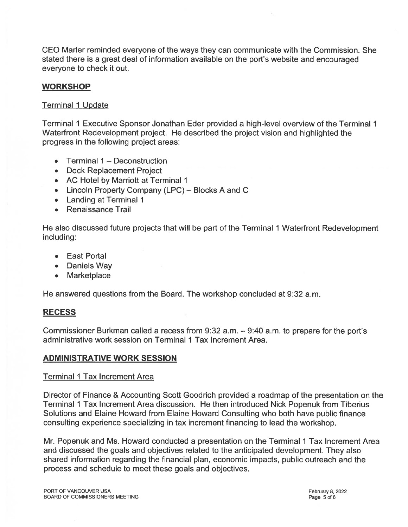CEO Marler reminded everyone of the ways they can communicate with the Commission. She stated there is <sup>a</sup> grea<sup>t</sup> deal of information available on the port's website and encouraged everyone to check it out.

## **WORKSHOP**

### Terminal I Update

Terminal 1 Executive Sponsor Jonathan Eder provided <sup>a</sup> high-level overview of the Terminal 1 Waterfront Redevelopment project. He described the project vision and highlighted the progress in the following project areas:

- •Terminal 1 — Deconstruction
- Dock Replacement Project
- AC Hotel by Marriott at Terminal 1
- Lincoln Property Company (LPC) Blocks A and C
- Landing at Terminal 1
- •Renaissance Trail

He also discussed future projects that will be par<sup>t</sup> of the Terminal 1 Waterfront Redevelopment including:

- East Portal
- Daniels Way
- Marketplace

He answered questions from the Board. The workshop concluded at 9:32 a.m.

## RECESS

Commissioner Burkman called <sup>a</sup> recess from 9:32 a.m. — 9:40 am. to prepare for the port's administrative work session on Terminal 1 Tax Increment Area.

## ADMINISTRATIVE WORK SESSION

### Terminal 1 Tax Increment Area

Director of Finance & Accounting Scott Goodrich provided <sup>a</sup> roadmap of the presentation on the Terminal 1 Tax Increment Area discussion. He then introduced Nick Popenuk from Tiberius Solutions and Elaine Howard from Elaine Howard Consulting who both have public finance consulting experience specializing in tax increment financing to lead the workshop.

Mr. Popenuk and Ms. Howard conducted <sup>a</sup> presentation on the Terminal I Tax Increment Area and discussed the goals and objectives related to the anticipated development. They also shared information regarding the financial plan, economic impacts, public outreach and the process and schedule to meet these goals and objectives.